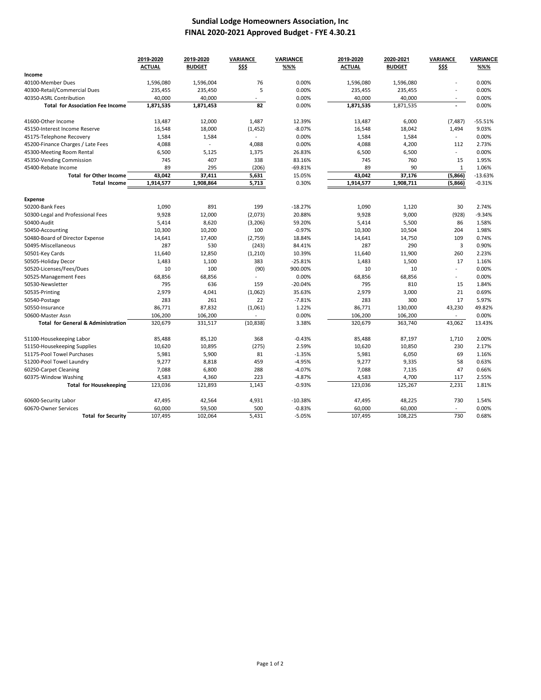### **Sundial Lodge Homeowners Association, Inc FINAL 2020‐2021 Approved Budget ‐ FYE 4.30.21**

|                                               | 2019-2020        | 2019-2020        | VARIANCE                 | <b>VARIANCE</b> | 2019-2020        | 2020-2021         | <b>VARIANCE</b>          | <b>VARIANCE</b> |
|-----------------------------------------------|------------------|------------------|--------------------------|-----------------|------------------|-------------------|--------------------------|-----------------|
|                                               | <b>ACTUAL</b>    | <b>BUDGET</b>    | \$\$\$                   | %%%             | <b>ACTUAL</b>    | <b>BUDGET</b>     | \$\$\$                   | %%%             |
| Income                                        |                  |                  |                          |                 |                  |                   |                          |                 |
| 40100-Member Dues                             | 1,596,080        | 1,596,004        | 76                       | 0.00%           | 1,596,080        | 1,596,080         | ÷,                       | 0.00%           |
| 40300-Retail/Commercial Dues                  | 235,455          | 235,450          | 5                        | 0.00%           | 235,455          | 235,455           | $\overline{a}$           | 0.00%           |
| 40350-ASRL Contribution                       | 40,000           | 40,000           | $\overline{\phantom{a}}$ | 0.00%           | 40,000           | 40,000            | $\overline{\phantom{a}}$ | 0.00%           |
| <b>Total for Association Fee Income</b>       | 1,871,535        | 1,871,453        | 82                       | 0.00%           | 1,871,535        | 1,871,535         |                          | 0.00%           |
| 41600-Other Income                            | 13,487           | 12,000           | 1,487                    | 12.39%          | 13,487           | 6,000             | (7, 487)                 | $-55.51%$       |
| 45150-Interest Income Reserve                 | 16,548           | 18,000           | (1, 452)                 | $-8.07%$        | 16,548           | 18,042            | 1,494                    | 9.03%           |
| 45175-Telephone Recovery                      | 1,584            | 1,584            | $\overline{a}$           | 0.00%           | 1,584            | 1,584             | ÷.                       | 0.00%           |
| 45200-Finance Charges / Late Fees             | 4,088            | $\overline{a}$   | 4,088                    | 0.00%           | 4,088            | 4,200             | 112                      | 2.73%           |
| 45300-Meeting Room Rental                     | 6,500            | 5,125            | 1,375                    | 26.83%          | 6,500            | 6,500             | ÷                        | 0.00%           |
| 45350-Vending Commission                      | 745              | 407              | 338                      | 83.16%          | 745              | 760               | 15                       | 1.95%           |
| 45400-Rebate Income                           | 89               | 295              | (206)                    | $-69.81%$       | 89               | 90                | $\mathbf{1}$             | 1.06%           |
| <b>Total for Other Income</b>                 | 43,042           | 37.411           | 5,631                    | 15.05%          | 43.042           | 37,176            | (5,866)                  | $-13.63%$       |
| <b>Total Income</b>                           | 1,914,577        | 1,908,864        | 5,713                    | 0.30%           | 1,914,577        | 1,908,711         | (5,866)                  | $-0.31%$        |
| Expense                                       |                  |                  |                          |                 |                  |                   |                          |                 |
| 50200-Bank Fees                               | 1,090            | 891              | 199                      | $-18.27%$       | 1,090            | 1,120             | 30                       | 2.74%           |
| 50300-Legal and Professional Fees             | 9,928            | 12,000           | (2,073)                  | 20.88%          | 9,928            | 9,000             | (928)                    | $-9.34%$        |
| 50400-Audit                                   | 5,414            | 8,620            | (3, 206)                 | 59.20%          | 5,414            | 5,500             | 86                       | 1.58%           |
| 50450-Accounting                              | 10,300           | 10,200           | 100                      | $-0.97%$        | 10,300           | 10,504            | 204                      | 1.98%           |
| 50480-Board of Director Expense               | 14,641           | 17,400           | (2,759)                  | 18.84%          | 14,641           | 14,750            | 109                      | 0.74%           |
| 50495-Miscellaneous                           | 287              | 530              | (243)                    | 84.41%          | 287              | 290               | 3                        | 0.90%           |
| 50501-Key Cards                               | 11,640           | 12,850           | (1, 210)                 | 10.39%          | 11,640           | 11,900            | 260                      | 2.23%           |
| 50505-Holiday Decor                           | 1,483            | 1,100            | 383                      | $-25.81%$       | 1,483            | 1,500             | 17                       | 1.16%           |
| 50520-Licenses/Fees/Dues                      | 10               | 100              | (90)                     | 900.00%         | 10               | 10                | ÷.                       | 0.00%           |
| 50525-Management Fees                         | 68,856           | 68,856           |                          | 0.00%           | 68,856           | 68,856            | ÷.                       | 0.00%           |
| 50530-Newsletter                              | 795              | 636              | 159                      | $-20.04%$       | 795              | 810               | 15                       | 1.84%           |
| 50535-Printing                                | 2,979            | 4,041            | (1,062)                  | 35.63%          | 2,979            | 3,000             | 21                       | 0.69%           |
| 50540-Postage                                 | 283              | 261              | 22                       | $-7.81%$        | 283              | 300               | 17                       | 5.97%           |
| 50550-Insurance                               | 86,771           | 87,832           | (1,061)                  | 1.22%           | 86,771           | 130,000           | 43,230                   | 49.82%          |
| 50600-Master Assn                             | 106,200          | 106,200          |                          | 0.00%           | 106,200          | 106,200           |                          | 0.00%           |
| <b>Total for General &amp; Administration</b> | 320,679          | 331,517          | (10, 838)                | 3.38%           | 320,679          | 363.740           | 43.062                   | 13.43%          |
| 51100-Housekeeping Labor                      | 85,488           | 85,120           | 368                      | $-0.43%$        | 85,488           | 87,197            | 1,710                    | 2.00%           |
| 51150-Housekeeping Supplies                   | 10,620           | 10,895           | (275)                    | 2.59%           | 10,620           | 10,850            | 230                      | 2.17%           |
| 51175-Pool Towel Purchases                    | 5,981            | 5,900            | 81                       | $-1.35%$        | 5,981            | 6,050             | 69                       | 1.16%           |
| 51200-Pool Towel Laundry                      | 9,277            | 8,818            | 459                      | $-4.95%$        | 9,277            | 9,335             | 58                       | 0.63%           |
| 60250-Carpet Cleaning                         | 7,088            | 6,800            | 288                      | $-4.07%$        | 7,088            | 7,135             | 47                       | 0.66%           |
| 60375-Window Washing                          | 4,583            | 4.360            | 223                      | $-4.87%$        | 4,583            | 4.700             | 117                      | 2.55%           |
| <b>Total for Housekeeping</b>                 | 123,036          | 121,893          | 1,143                    | $-0.93%$        | 123,036          | 125,267           | 2,231                    | 1.81%           |
|                                               |                  |                  |                          | $-10.38%$       |                  |                   | 730                      | 1.54%           |
| 60600-Security Labor<br>60670-Owner Services  | 47,495<br>60,000 | 42,564<br>59,500 | 4,931<br>500             | $-0.83%$        | 47,495<br>60,000 | 48,225            | ÷                        | 0.00%           |
| <b>Total for Security</b>                     | 107,495          | 102,064          | 5,431                    | $-5.05%$        | 107,495          | 60,000<br>108,225 | 730                      | 0.68%           |
|                                               |                  |                  |                          |                 |                  |                   |                          |                 |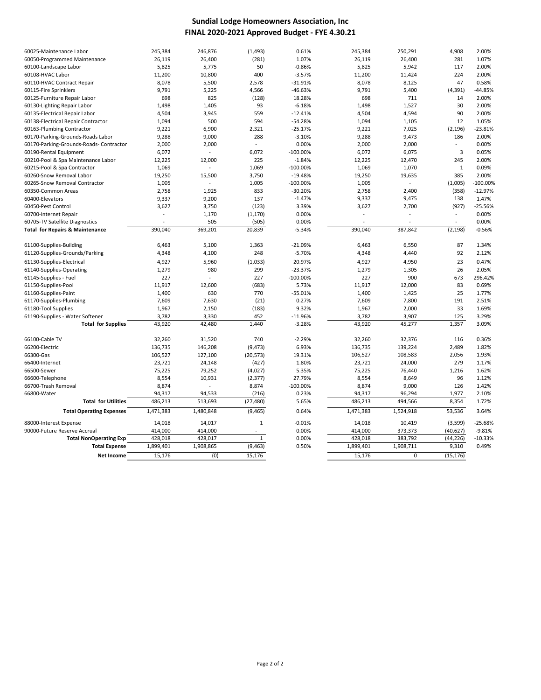### **Sundial Lodge Homeowners Association, Inc FINAL 2020‐2021 Approved Budget ‐ FYE 4.30.21**

| 60025-Maintenance Labor                        | 245,384         | 246,876        | (1, 493)       | 0.61%       | 245,384         | 250,291         | 4,908          | 2.00%      |
|------------------------------------------------|-----------------|----------------|----------------|-------------|-----------------|-----------------|----------------|------------|
| 60050-Programmed Maintenance                   | 26,119          | 26,400         | (281)          | 1.07%       | 26,119          | 26,400          | 281            | 1.07%      |
| 60100-Landscape Labor                          | 5,825           | 5,775          | 50             | $-0.86%$    | 5,825           | 5,942           | 117            | 2.00%      |
| 60108-HVAC Labor                               | 11,200          | 10,800         | 400            | $-3.57%$    | 11,200          | 11,424          | 224            | 2.00%      |
| 60110-HVAC Contract Repair                     | 8,078           | 5,500          | 2,578          | $-31.91%$   | 8,078           | 8,125           | 47             | 0.58%      |
| 60115-Fire Sprinklers                          | 9,791           | 5,225          | 4,566          | $-46.63%$   | 9,791           | 5,400           | (4, 391)       | $-44.85%$  |
| 60125-Furniture Repair Labor                   | 698             | 825            | (128)          | 18.28%      | 698             | 711             | 14             | 2.00%      |
| 60130-Lighting Repair Labor                    | 1,498           | 1,405          | 93             | $-6.18%$    | 1,498           | 1,527           | 30             | 2.00%      |
| 60135-Electrical Repair Labor                  | 4,504           | 3,945          | 559            | $-12.41%$   | 4,504           | 4,594           | 90             | 2.00%      |
| 60138-Electrical Repair Contractor             | 1,094           | 500            | 594            | $-54.28%$   | 1,094           | 1,105           | 12             | 1.05%      |
| 60163-Plumbing Contractor                      | 9,221           | 6,900          | 2,321          | $-25.17%$   | 9,221           | 7,025           | (2, 196)       | $-23.81%$  |
| 60170-Parking-Grounds-Roads Labor              | 9,288           | 9,000          | 288            | $-3.10%$    | 9,288           | 9,473           | 186            | 2.00%      |
| 60170-Parking-Grounds-Roads-Contractor         | 2,000           | 2,000          | $\overline{a}$ | 0.00%       | 2,000           | 2,000           | $\sim$         | 0.00%      |
| 60190-Rental Equipment                         | 6,072           |                | 6,072          | $-100.00%$  | 6,072           | 6,075           | $\overline{3}$ | 0.05%      |
| 60210-Pool & Spa Maintenance Labor             | 12,225          | 12,000         | 225            | $-1.84%$    | 12,225          | 12,470          | 245            | 2.00%      |
| 60215-Pool & Spa Contractor                    | 1,069           |                | 1,069          | $-100.00%$  | 1,069           | 1,070           | $\mathbf{1}$   | 0.09%      |
| 60260-Snow Removal Labor                       | 19,250          | 15,500         | 3,750          | $-19.48%$   | 19,250          | 19,635          | 385            | 2.00%      |
| 60265-Snow Removal Contractor                  | 1,005           | $\overline{a}$ | 1,005          | $-100.00%$  | 1,005           | $\overline{a}$  | (1,005)        | $-100.00%$ |
| 60350-Common Areas                             | 2,758           | 1,925          | 833            | $-30.20%$   | 2,758           | 2,400           | (358)          | $-12.97%$  |
| 60400-Elevators                                | 9,337           | 9,200          | 137            | $-1.47%$    | 9,337           | 9,475           | 138            | 1.47%      |
| 60450-Pest Control                             | 3,627           | 3,750          | (123)          | 3.39%       | 3,627           | 2,700           | (927)          | $-25.56%$  |
| 60700-Internet Repair                          |                 | 1,170          | (1, 170)       | 0.00%       |                 |                 |                | 0.00%      |
| 60705-TV Satellite Diagnostics                 |                 | 505            | (505)          | 0.00%       |                 |                 | $\overline{a}$ | 0.00%      |
| <b>Total for Repairs &amp; Maintenance</b>     | 390,040         | 369,201        | 20,839         | $-5.34%$    | 390,040         | 387,842         | (2, 198)       | $-0.56%$   |
| 61100-Supplies-Building                        | 6,463           | 5,100          | 1,363          | $-21.09%$   | 6,463           | 6,550           | 87             | 1.34%      |
| 61120-Supplies-Grounds/Parking                 | 4,348           | 4,100          | 248            | $-5.70%$    | 4,348           | 4,440           | 92             | 2.12%      |
| 61130-Supplies-Electrical                      | 4,927           | 5,960          | (1,033)        | 20.97%      | 4,927           | 4,950           | 23             | 0.47%      |
| 61140-Supplies-Operating                       | 1,279           | 980            | 299            | $-23.37%$   | 1,279           | 1,305           | 26             | 2.05%      |
| 61145-Supplies - Fuel                          | 227             |                | 227            | $-100.00%$  | 227             | 900             | 673            | 296.42%    |
|                                                |                 |                |                | 5.73%       |                 |                 | 83             | 0.69%      |
| 61150-Supplies-Pool<br>61160-Supplies-Paint    | 11,917<br>1,400 | 12,600<br>630  | (683)<br>770   | $-55.01%$   | 11,917<br>1,400 | 12,000<br>1,425 | 25             | 1.77%      |
|                                                |                 |                |                | 0.27%       |                 |                 | 191            | 2.51%      |
| 61170-Supplies-Plumbing<br>61180-Tool Supplies | 7,609<br>1,967  | 7,630<br>2,150 | (21)<br>(183)  | 9.32%       | 7,609           | 7,800<br>2,000  | 33             | 1.69%      |
| 61190-Supplies - Water Softener                | 3,782           | 3,330          | 452            | $-11.96%$   | 1,967<br>3,782  | 3,907           | 125            | 3.29%      |
| <b>Total for Supplies</b>                      | 43,920          | 42,480         | 1,440          | $-3.28%$    | 43,920          | 45,277          | 1,357          | 3.09%      |
|                                                |                 |                |                |             |                 |                 |                |            |
| 66100-Cable TV                                 | 32,260          | 31,520         | 740            | $-2.29%$    | 32,260          | 32,376          | 116            | 0.36%      |
| 66200-Electric                                 | 136,735         | 146,208        | (9, 473)       | 6.93%       | 136,735         | 139,224         | 2,489          | 1.82%      |
| 66300-Gas                                      | 106,527         | 127,100        | (20, 573)      | 19.31%      | 106,527         | 108,583         | 2,056          | 1.93%      |
| 66400-Internet                                 | 23,721          | 24,148         | (427)          | 1.80%       | 23,721          | 24,000          | 279            | 1.17%      |
| 66500-Sewer                                    | 75,225          | 79,252         | (4,027)        | 5.35%       | 75,225          | 76,440          | 1,216          | 1.62%      |
| 66600-Telephone                                | 8,554           | 10,931         | (2, 377)       | 27.79%      | 8,554           | 8,649           | 96             | 1.12%      |
| 66700-Trash Removal                            | 8,874           | $\overline{a}$ | 8,874          | $-100.00\%$ | 8,874           | 9,000           | 126            | 1.42%      |
| 66800-Water                                    | 94,317          | 94,533         | (216)          | 0.23%       | 94,317          | 96,294          | 1,977          | 2.10%      |
| <b>Total for Utilities</b>                     | 486,213         | 513,693        | (27, 480)      | 5.65%       | 486,213         | 494,566         | 8,354          | 1.72%      |
| <b>Total Operating Expenses</b>                | 1,471,383       | 1,480,848      | (9, 465)       | 0.64%       | 1,471,383       | 1,524,918       | 53,536         | 3.64%      |
| 88000-Interest Expense                         | 14,018          | 14,017         | $\mathbf{1}$   | $-0.01%$    | 14,018          | 10,419          | (3,599)        | $-25.68%$  |
| 90000-Future Reserve Accrual                   | 414,000         | 414,000        | $\sim$         | 0.00%       | 414,000         | 373,373         | (40, 627)      | $-9.81%$   |
| <b>Total NonOperating Exp</b>                  | 428,018         | 428,017        | $\mathbf{1}$   | 0.00%       | 428,018         | 383,792         | (44, 226)      | $-10.33%$  |
|                                                | 1,899,401       | 1,908,865      | (9, 463)       | 0.50%       | 1,899,401       | 1,908,711       | 9,310          | 0.49%      |
| <b>Total Expense</b>                           | 15.176          | (0)            | 15,176         |             | 15,176          | $\Omega$        | (15, 176)      |            |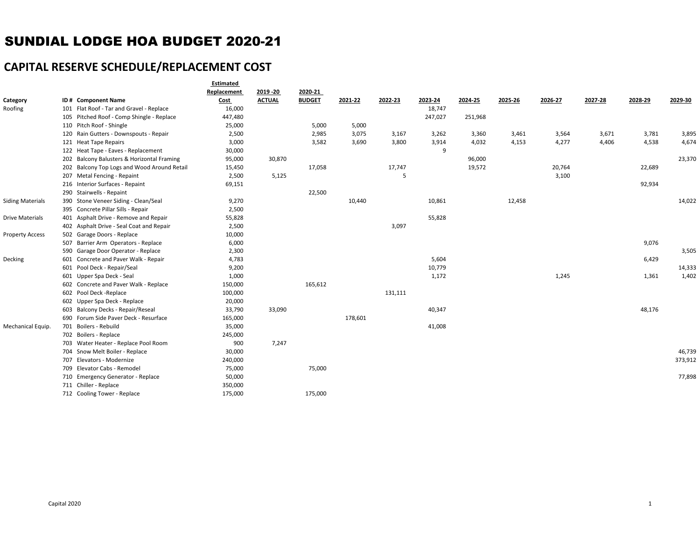# SUNDIAL LODGE HOA BUDGET 2020-21

## **CAPITAL RESERVE SCHEDULE/REPLACEMENT COST**

|                         |                                             | Estimated   |               |               |         |         |         |         |         |         |         |         |         |
|-------------------------|---------------------------------------------|-------------|---------------|---------------|---------|---------|---------|---------|---------|---------|---------|---------|---------|
|                         |                                             | Replacement | 2019 - 20     | 2020-21       |         |         |         |         |         |         |         |         |         |
| Category                | ID # Component Name                         | Cost        | <b>ACTUAL</b> | <b>BUDGET</b> | 2021-22 | 2022-23 | 2023-24 | 2024-25 | 2025-26 | 2026-27 | 2027-28 | 2028-29 | 2029-30 |
| Roofing                 | 101 Flat Roof - Tar and Gravel - Replace    | 16,000      |               |               |         |         | 18,747  |         |         |         |         |         |         |
|                         | 105 Pitched Roof - Comp Shingle - Replace   | 447,480     |               |               |         |         | 247,027 | 251,968 |         |         |         |         |         |
|                         | 110 Pitch Roof - Shingle                    | 25,000      |               | 5,000         | 5,000   |         |         |         |         |         |         |         |         |
|                         | 120 Rain Gutters - Downspouts - Repair      | 2,500       |               | 2,985         | 3,075   | 3,167   | 3,262   | 3,360   | 3,461   | 3,564   | 3,671   | 3,781   | 3,895   |
|                         | 121 Heat Tape Repairs                       | 3,000       |               | 3,582         | 3,690   | 3,800   | 3,914   | 4,032   | 4,153   | 4,277   | 4,406   | 4,538   | 4,674   |
|                         | 122 Heat Tape - Eaves - Replacement         | 30,000      |               |               |         |         | 9       |         |         |         |         |         |         |
|                         | 202 Balcony Balusters & Horizontal Framing  | 95,000      | 30,870        |               |         |         |         | 96,000  |         |         |         |         | 23,370  |
|                         | 202 Balcony Top Logs and Wood Around Retail | 15,450      |               | 17,058        |         | 17,747  |         | 19,572  |         | 20,764  |         | 22,689  |         |
|                         | 207 Metal Fencing - Repaint                 | 2,500       | 5,125         |               |         | 5       |         |         |         | 3,100   |         |         |         |
|                         | 216 Interior Surfaces - Repaint             | 69,151      |               |               |         |         |         |         |         |         |         | 92,934  |         |
|                         | 290 Stairwells - Repaint                    |             |               | 22,500        |         |         |         |         |         |         |         |         |         |
| <b>Siding Materials</b> | 390 Stone Veneer Siding - Clean/Seal        | 9,270       |               |               | 10,440  |         | 10,861  |         | 12,458  |         |         |         | 14,022  |
|                         | 395 Concrete Pillar Sills - Repair          | 2,500       |               |               |         |         |         |         |         |         |         |         |         |
| <b>Drive Materials</b>  | 401 Asphalt Drive - Remove and Repair       | 55,828      |               |               |         |         | 55,828  |         |         |         |         |         |         |
|                         | 402 Asphalt Drive - Seal Coat and Repair    | 2,500       |               |               |         | 3,097   |         |         |         |         |         |         |         |
| <b>Property Access</b>  | 502 Garage Doors - Replace                  | 10,000      |               |               |         |         |         |         |         |         |         |         |         |
|                         | 507 Barrier Arm Operators - Replace         | 6,000       |               |               |         |         |         |         |         |         |         | 9,076   |         |
|                         | 590 Garage Door Operator - Replace          | 2,300       |               |               |         |         |         |         |         |         |         |         | 3,505   |
| Decking                 | 601 Concrete and Paver Walk - Repair        | 4,783       |               |               |         |         | 5,604   |         |         |         |         | 6,429   |         |
|                         | 601 Pool Deck - Repair/Seal                 | 9,200       |               |               |         |         | 10,779  |         |         |         |         |         | 14,333  |
|                         | 601 Upper Spa Deck - Seal                   | 1,000       |               |               |         |         | 1,172   |         |         | 1,245   |         | 1,361   | 1,402   |
|                         | 602 Concrete and Paver Walk - Replace       | 150,000     |               | 165,612       |         |         |         |         |         |         |         |         |         |
|                         | 602 Pool Deck -Replace                      | 100,000     |               |               |         | 131,111 |         |         |         |         |         |         |         |
|                         | 602 Upper Spa Deck - Replace                | 20,000      |               |               |         |         |         |         |         |         |         |         |         |
|                         | 603 Balcony Decks - Repair/Reseal           | 33,790      | 33,090        |               |         |         | 40,347  |         |         |         |         | 48,176  |         |
|                         | 690 Forum Side Paver Deck - Resurface       | 165,000     |               |               | 178,601 |         |         |         |         |         |         |         |         |
| Mechanical Equip.       | 701 Boilers - Rebuild                       | 35,000      |               |               |         |         | 41,008  |         |         |         |         |         |         |
|                         | 702 Boilers - Replace                       | 245,000     |               |               |         |         |         |         |         |         |         |         |         |
|                         | 703 Water Heater - Replace Pool Room        | 900         | 7,247         |               |         |         |         |         |         |         |         |         |         |
|                         | 704 Snow Melt Boiler - Replace              | 30,000      |               |               |         |         |         |         |         |         |         |         | 46,739  |
|                         | 707 Elevators - Modernize                   | 240,000     |               |               |         |         |         |         |         |         |         |         | 373,912 |
|                         | 709 Elevator Cabs - Remodel                 | 75,000      |               | 75,000        |         |         |         |         |         |         |         |         |         |
|                         | 710 Emergency Generator - Replace           | 50,000      |               |               |         |         |         |         |         |         |         |         | 77,898  |
|                         | 711 Chiller - Replace                       | 350,000     |               |               |         |         |         |         |         |         |         |         |         |
|                         | 712 Cooling Tower - Replace                 | 175,000     |               | 175,000       |         |         |         |         |         |         |         |         |         |
|                         |                                             |             |               |               |         |         |         |         |         |         |         |         |         |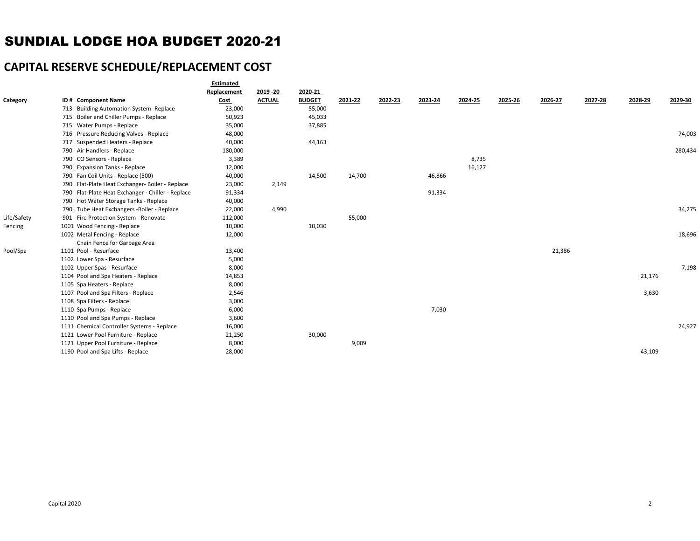## SUNDIAL LODGE HOA BUDGET 2020-21

## **CAPITAL RESERVE SCHEDULE/REPLACEMENT COST**

| Replacement<br>2019 - 20<br>2020-21<br>ID# Component Name<br><b>ACTUAL</b><br><b>BUDGET</b><br>2021-22<br>2022-23<br>2023-24<br>2024-25<br>2025-26<br>2026-27<br>2027-28<br>2028-29<br>2029-30<br><b>Cost</b><br>713 Building Automation System - Replace<br>23,000<br>55,000<br>715 Boiler and Chiller Pumps - Replace<br>45,033<br>50,923<br>715 Water Pumps - Replace<br>35,000<br>37,885<br>74,003<br>716 Pressure Reducing Valves - Replace<br>48,000<br>44,163<br>717 Suspended Heaters - Replace<br>40,000<br>790 Air Handlers - Replace<br>280,434<br>180,000<br>8,735<br>790 CO Sensors - Replace<br>3,389<br>12,000<br>16,127<br>790 Expansion Tanks - Replace<br>14,700<br>790 Fan Coil Units - Replace (500)<br>40,000<br>14,500<br>46,866<br>790 Flat-Plate Heat Exchanger- Boiler - Replace<br>23,000<br>2,149<br>790 Flat-Plate Heat Exchanger - Chiller - Replace<br>91,334<br>91,334<br>790 Hot Water Storage Tanks - Replace<br>40,000<br>790 Tube Heat Exchangers -Boiler - Replace<br>4,990<br>34,275<br>22,000<br>55,000<br>901 Fire Protection System - Renovate<br>112,000<br>1001 Wood Fencing - Replace<br>10,000<br>10,030<br>18,696<br>1002 Metal Fencing - Replace<br>12,000<br>Chain Fence for Garbage Area<br>1101 Pool - Resurface<br>13,400<br>21,386<br>5,000<br>1102 Lower Spa - Resurface<br>7,198<br>8,000<br>1102 Upper Spas - Resurface<br>1104 Pool and Spa Heaters - Replace<br>14,853<br>21,176<br>1105 Spa Heaters - Replace<br>8,000<br>3,630<br>1107 Pool and Spa Filters - Replace<br>2,546<br>1108 Spa Filters - Replace<br>3,000<br>7,030<br>6,000<br>1110 Spa Pumps - Replace<br>1110 Pool and Spa Pumps - Replace<br>3,600<br>24,927<br>1111 Chemical Controller Systems - Replace<br>16,000<br>1121 Lower Pool Furniture - Replace<br>30,000<br>21,250<br>1121 Upper Pool Furniture - Replace<br>8,000<br>9,009<br>43,109<br>1190 Pool and Spa Lifts - Replace<br>28,000 |             | Estimated |  |  |  |  |  |  |
|----------------------------------------------------------------------------------------------------------------------------------------------------------------------------------------------------------------------------------------------------------------------------------------------------------------------------------------------------------------------------------------------------------------------------------------------------------------------------------------------------------------------------------------------------------------------------------------------------------------------------------------------------------------------------------------------------------------------------------------------------------------------------------------------------------------------------------------------------------------------------------------------------------------------------------------------------------------------------------------------------------------------------------------------------------------------------------------------------------------------------------------------------------------------------------------------------------------------------------------------------------------------------------------------------------------------------------------------------------------------------------------------------------------------------------------------------------------------------------------------------------------------------------------------------------------------------------------------------------------------------------------------------------------------------------------------------------------------------------------------------------------------------------------------------------------------------------------------------------------------------------------------------------------------------|-------------|-----------|--|--|--|--|--|--|
|                                                                                                                                                                                                                                                                                                                                                                                                                                                                                                                                                                                                                                                                                                                                                                                                                                                                                                                                                                                                                                                                                                                                                                                                                                                                                                                                                                                                                                                                                                                                                                                                                                                                                                                                                                                                                                                                                                                            |             |           |  |  |  |  |  |  |
|                                                                                                                                                                                                                                                                                                                                                                                                                                                                                                                                                                                                                                                                                                                                                                                                                                                                                                                                                                                                                                                                                                                                                                                                                                                                                                                                                                                                                                                                                                                                                                                                                                                                                                                                                                                                                                                                                                                            | Category    |           |  |  |  |  |  |  |
|                                                                                                                                                                                                                                                                                                                                                                                                                                                                                                                                                                                                                                                                                                                                                                                                                                                                                                                                                                                                                                                                                                                                                                                                                                                                                                                                                                                                                                                                                                                                                                                                                                                                                                                                                                                                                                                                                                                            |             |           |  |  |  |  |  |  |
|                                                                                                                                                                                                                                                                                                                                                                                                                                                                                                                                                                                                                                                                                                                                                                                                                                                                                                                                                                                                                                                                                                                                                                                                                                                                                                                                                                                                                                                                                                                                                                                                                                                                                                                                                                                                                                                                                                                            |             |           |  |  |  |  |  |  |
|                                                                                                                                                                                                                                                                                                                                                                                                                                                                                                                                                                                                                                                                                                                                                                                                                                                                                                                                                                                                                                                                                                                                                                                                                                                                                                                                                                                                                                                                                                                                                                                                                                                                                                                                                                                                                                                                                                                            |             |           |  |  |  |  |  |  |
|                                                                                                                                                                                                                                                                                                                                                                                                                                                                                                                                                                                                                                                                                                                                                                                                                                                                                                                                                                                                                                                                                                                                                                                                                                                                                                                                                                                                                                                                                                                                                                                                                                                                                                                                                                                                                                                                                                                            |             |           |  |  |  |  |  |  |
|                                                                                                                                                                                                                                                                                                                                                                                                                                                                                                                                                                                                                                                                                                                                                                                                                                                                                                                                                                                                                                                                                                                                                                                                                                                                                                                                                                                                                                                                                                                                                                                                                                                                                                                                                                                                                                                                                                                            |             |           |  |  |  |  |  |  |
|                                                                                                                                                                                                                                                                                                                                                                                                                                                                                                                                                                                                                                                                                                                                                                                                                                                                                                                                                                                                                                                                                                                                                                                                                                                                                                                                                                                                                                                                                                                                                                                                                                                                                                                                                                                                                                                                                                                            |             |           |  |  |  |  |  |  |
|                                                                                                                                                                                                                                                                                                                                                                                                                                                                                                                                                                                                                                                                                                                                                                                                                                                                                                                                                                                                                                                                                                                                                                                                                                                                                                                                                                                                                                                                                                                                                                                                                                                                                                                                                                                                                                                                                                                            |             |           |  |  |  |  |  |  |
|                                                                                                                                                                                                                                                                                                                                                                                                                                                                                                                                                                                                                                                                                                                                                                                                                                                                                                                                                                                                                                                                                                                                                                                                                                                                                                                                                                                                                                                                                                                                                                                                                                                                                                                                                                                                                                                                                                                            |             |           |  |  |  |  |  |  |
|                                                                                                                                                                                                                                                                                                                                                                                                                                                                                                                                                                                                                                                                                                                                                                                                                                                                                                                                                                                                                                                                                                                                                                                                                                                                                                                                                                                                                                                                                                                                                                                                                                                                                                                                                                                                                                                                                                                            |             |           |  |  |  |  |  |  |
|                                                                                                                                                                                                                                                                                                                                                                                                                                                                                                                                                                                                                                                                                                                                                                                                                                                                                                                                                                                                                                                                                                                                                                                                                                                                                                                                                                                                                                                                                                                                                                                                                                                                                                                                                                                                                                                                                                                            |             |           |  |  |  |  |  |  |
|                                                                                                                                                                                                                                                                                                                                                                                                                                                                                                                                                                                                                                                                                                                                                                                                                                                                                                                                                                                                                                                                                                                                                                                                                                                                                                                                                                                                                                                                                                                                                                                                                                                                                                                                                                                                                                                                                                                            |             |           |  |  |  |  |  |  |
|                                                                                                                                                                                                                                                                                                                                                                                                                                                                                                                                                                                                                                                                                                                                                                                                                                                                                                                                                                                                                                                                                                                                                                                                                                                                                                                                                                                                                                                                                                                                                                                                                                                                                                                                                                                                                                                                                                                            |             |           |  |  |  |  |  |  |
|                                                                                                                                                                                                                                                                                                                                                                                                                                                                                                                                                                                                                                                                                                                                                                                                                                                                                                                                                                                                                                                                                                                                                                                                                                                                                                                                                                                                                                                                                                                                                                                                                                                                                                                                                                                                                                                                                                                            |             |           |  |  |  |  |  |  |
|                                                                                                                                                                                                                                                                                                                                                                                                                                                                                                                                                                                                                                                                                                                                                                                                                                                                                                                                                                                                                                                                                                                                                                                                                                                                                                                                                                                                                                                                                                                                                                                                                                                                                                                                                                                                                                                                                                                            | Life/Safety |           |  |  |  |  |  |  |
|                                                                                                                                                                                                                                                                                                                                                                                                                                                                                                                                                                                                                                                                                                                                                                                                                                                                                                                                                                                                                                                                                                                                                                                                                                                                                                                                                                                                                                                                                                                                                                                                                                                                                                                                                                                                                                                                                                                            | Fencing     |           |  |  |  |  |  |  |
|                                                                                                                                                                                                                                                                                                                                                                                                                                                                                                                                                                                                                                                                                                                                                                                                                                                                                                                                                                                                                                                                                                                                                                                                                                                                                                                                                                                                                                                                                                                                                                                                                                                                                                                                                                                                                                                                                                                            |             |           |  |  |  |  |  |  |
|                                                                                                                                                                                                                                                                                                                                                                                                                                                                                                                                                                                                                                                                                                                                                                                                                                                                                                                                                                                                                                                                                                                                                                                                                                                                                                                                                                                                                                                                                                                                                                                                                                                                                                                                                                                                                                                                                                                            |             |           |  |  |  |  |  |  |
|                                                                                                                                                                                                                                                                                                                                                                                                                                                                                                                                                                                                                                                                                                                                                                                                                                                                                                                                                                                                                                                                                                                                                                                                                                                                                                                                                                                                                                                                                                                                                                                                                                                                                                                                                                                                                                                                                                                            | Pool/Spa    |           |  |  |  |  |  |  |
|                                                                                                                                                                                                                                                                                                                                                                                                                                                                                                                                                                                                                                                                                                                                                                                                                                                                                                                                                                                                                                                                                                                                                                                                                                                                                                                                                                                                                                                                                                                                                                                                                                                                                                                                                                                                                                                                                                                            |             |           |  |  |  |  |  |  |
|                                                                                                                                                                                                                                                                                                                                                                                                                                                                                                                                                                                                                                                                                                                                                                                                                                                                                                                                                                                                                                                                                                                                                                                                                                                                                                                                                                                                                                                                                                                                                                                                                                                                                                                                                                                                                                                                                                                            |             |           |  |  |  |  |  |  |
|                                                                                                                                                                                                                                                                                                                                                                                                                                                                                                                                                                                                                                                                                                                                                                                                                                                                                                                                                                                                                                                                                                                                                                                                                                                                                                                                                                                                                                                                                                                                                                                                                                                                                                                                                                                                                                                                                                                            |             |           |  |  |  |  |  |  |
|                                                                                                                                                                                                                                                                                                                                                                                                                                                                                                                                                                                                                                                                                                                                                                                                                                                                                                                                                                                                                                                                                                                                                                                                                                                                                                                                                                                                                                                                                                                                                                                                                                                                                                                                                                                                                                                                                                                            |             |           |  |  |  |  |  |  |
|                                                                                                                                                                                                                                                                                                                                                                                                                                                                                                                                                                                                                                                                                                                                                                                                                                                                                                                                                                                                                                                                                                                                                                                                                                                                                                                                                                                                                                                                                                                                                                                                                                                                                                                                                                                                                                                                                                                            |             |           |  |  |  |  |  |  |
|                                                                                                                                                                                                                                                                                                                                                                                                                                                                                                                                                                                                                                                                                                                                                                                                                                                                                                                                                                                                                                                                                                                                                                                                                                                                                                                                                                                                                                                                                                                                                                                                                                                                                                                                                                                                                                                                                                                            |             |           |  |  |  |  |  |  |
|                                                                                                                                                                                                                                                                                                                                                                                                                                                                                                                                                                                                                                                                                                                                                                                                                                                                                                                                                                                                                                                                                                                                                                                                                                                                                                                                                                                                                                                                                                                                                                                                                                                                                                                                                                                                                                                                                                                            |             |           |  |  |  |  |  |  |
|                                                                                                                                                                                                                                                                                                                                                                                                                                                                                                                                                                                                                                                                                                                                                                                                                                                                                                                                                                                                                                                                                                                                                                                                                                                                                                                                                                                                                                                                                                                                                                                                                                                                                                                                                                                                                                                                                                                            |             |           |  |  |  |  |  |  |
|                                                                                                                                                                                                                                                                                                                                                                                                                                                                                                                                                                                                                                                                                                                                                                                                                                                                                                                                                                                                                                                                                                                                                                                                                                                                                                                                                                                                                                                                                                                                                                                                                                                                                                                                                                                                                                                                                                                            |             |           |  |  |  |  |  |  |
|                                                                                                                                                                                                                                                                                                                                                                                                                                                                                                                                                                                                                                                                                                                                                                                                                                                                                                                                                                                                                                                                                                                                                                                                                                                                                                                                                                                                                                                                                                                                                                                                                                                                                                                                                                                                                                                                                                                            |             |           |  |  |  |  |  |  |
|                                                                                                                                                                                                                                                                                                                                                                                                                                                                                                                                                                                                                                                                                                                                                                                                                                                                                                                                                                                                                                                                                                                                                                                                                                                                                                                                                                                                                                                                                                                                                                                                                                                                                                                                                                                                                                                                                                                            |             |           |  |  |  |  |  |  |
|                                                                                                                                                                                                                                                                                                                                                                                                                                                                                                                                                                                                                                                                                                                                                                                                                                                                                                                                                                                                                                                                                                                                                                                                                                                                                                                                                                                                                                                                                                                                                                                                                                                                                                                                                                                                                                                                                                                            |             |           |  |  |  |  |  |  |